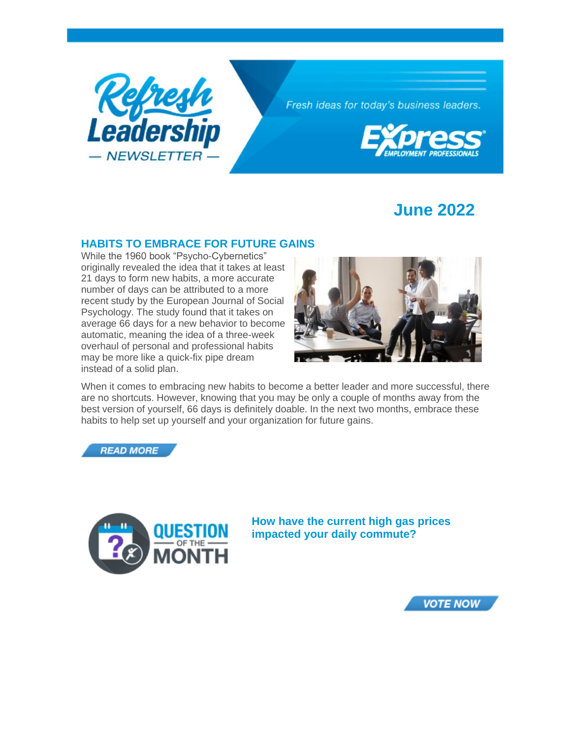

Fresh ideas for today's business leaders.



# **June 2022**

### **HABITS TO EMBRACE FOR FUTURE GAINS**

While the 1960 book "Psycho-Cybernetics" originally revealed the idea that it takes at least 21 days to form new habits, a more accurate number of days can be attributed to a more recent study by the European Journal of Social Psychology. The study found that it takes on average 66 days for a new behavior to become automatic, meaning the idea of a three-week overhaul of personal and professional habits may be more like a quick-fix pipe dream instead of a solid plan.



When it comes to embracing new habits to become a better leader and more successful, there are no shortcuts. However, knowing that you may be only a couple of months away from the best version of yourself, 66 days is definitely doable. In the next two months, embrace these habits to help set up yourself and your organization for future gains.





**How have the current high gas prices impacted your daily commute?**

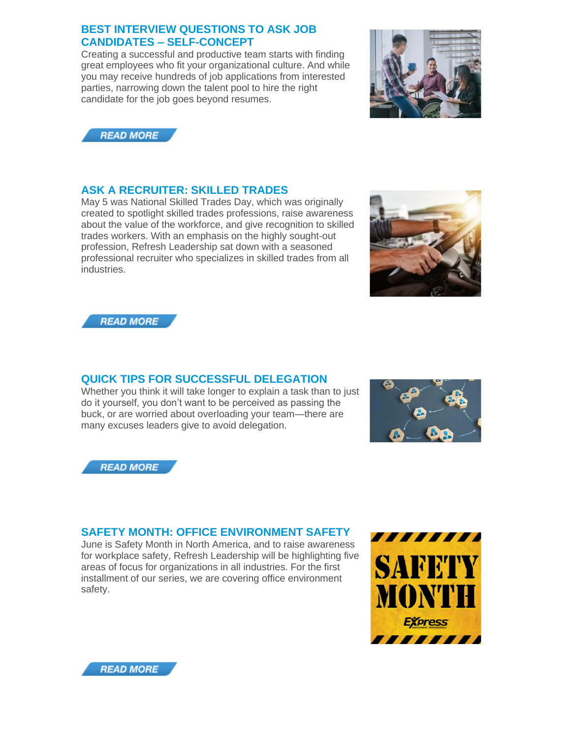### **BEST INTERVIEW QUESTIONS TO ASK JOB CANDIDATES – SELF-CONCEPT**

Creating a successful and productive team starts with finding great employees who fit your organizational culture. And while you may receive hundreds of job applications from interested parties, narrowing down the talent pool to hire the right candidate for the job goes beyond resumes.





## **ASK A RECRUITER: SKILLED TRADES**

May 5 was National Skilled Trades Day, which was originally created to spotlight skilled trades professions, raise awareness about the value of the workforce, and give recognition to skilled trades workers. With an emphasis on the highly sought-out profession, Refresh Leadership sat down with a seasoned professional recruiter who specializes in skilled trades from all industries.





# **QUICK TIPS FOR SUCCESSFUL DELEGATION**

Whether you think it will take longer to explain a task than to just do it yourself, you don't want to be perceived as passing the buck, or are worried about overloading your team—there are many excuses leaders give to avoid delegation.





# **SAFETY MONTH: OFFICE ENVIRONMENT SAFETY**

June is Safety Month in North America, and to raise awareness for workplace safety, Refresh Leadership will be highlighting five areas of focus for organizations in all industries. For the first installment of our series, we are covering office environment safety.